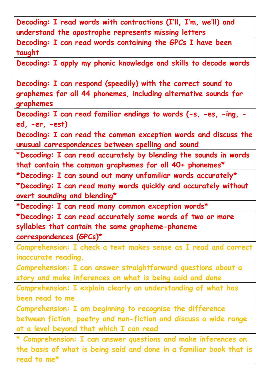**Decoding: I read words with contractions (I'll, I'm, we'll) and understand the apostrophe represents missing letters**

**Decoding: I can read words containing the GPCs I have been taught**

**Decoding: I apply my phonic knowledge and skills to decode words**

**Decoding: I can respond (speedily) with the correct sound to graphemes for all 44 phonemes, including alternative sounds for graphemes**

**Decoding: I can read familiar endings to words (-s, -es, -ing, ed, -er, -est)**

**Decoding: I can read the common exception words and discuss the unusual correspondences between spelling and sound**

**\*Decoding: I can read accurately by blending the sounds in words that contain the common graphemes for all 40+ phonemes\***

**\*Decoding: I can sound out many unfamiliar words accurately\***

**\*Decoding: I can read many words quickly and accurately without overt sounding and blending\***

**\*Decoding: I can read many common exception words\***

**\*Decoding: I can read accurately some words of two or more syllables that contain the same grapheme-phoneme correspondences (GPCs)\***

**Comprehension: I check a text makes sense as I read and correct inaccurate reading.**

**Comprehension: I can answer straightforward questions about a story and make inferences on what is being said and done**

**Comprehension: I explain clearly an understanding of what has been read to me**

**Comprehension: I am beginning to recognise the difference between fiction, poetry and non-fiction and discuss a wide range at a level beyond that which I can read**

**\* Comprehension: I can answer questions and make inferences on the basis of what is being said and done in a familiar book that is read to me\***